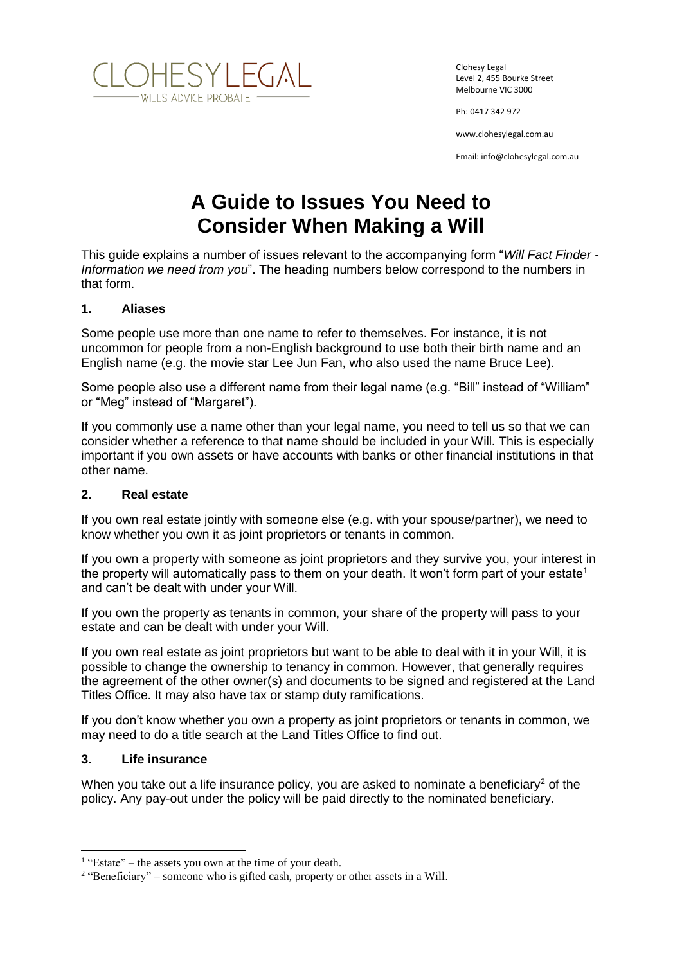

Clohesy Legal Level 2, 455 Bourke Street Melbourne VIC 3000

Ph: 0417 342 972

www.clohesylegal.com.au

Email: info@clohesylegal.com.au

# **A Guide to Issues You Need to Consider When Making a Will**

This guide explains a number of issues relevant to the accompanying form "*Will Fact Finder - Information we need from you*". The heading numbers below correspond to the numbers in that form.

### **1. Aliases**

Some people use more than one name to refer to themselves. For instance, it is not uncommon for people from a non-English background to use both their birth name and an English name (e.g. the movie star Lee Jun Fan, who also used the name Bruce Lee).

Some people also use a different name from their legal name (e.g. "Bill" instead of "William" or "Meg" instead of "Margaret").

If you commonly use a name other than your legal name, you need to tell us so that we can consider whether a reference to that name should be included in your Will. This is especially important if you own assets or have accounts with banks or other financial institutions in that other name.

### **2. Real estate**

If you own real estate jointly with someone else (e.g. with your spouse/partner), we need to know whether you own it as joint proprietors or tenants in common.

If you own a property with someone as joint proprietors and they survive you, your interest in the property will automatically pass to them on your death. It won't form part of your estate<sup>1</sup> and can't be dealt with under your Will.

If you own the property as tenants in common, your share of the property will pass to your estate and can be dealt with under your Will.

If you own real estate as joint proprietors but want to be able to deal with it in your Will, it is possible to change the ownership to tenancy in common. However, that generally requires the agreement of the other owner(s) and documents to be signed and registered at the Land Titles Office. It may also have tax or stamp duty ramifications.

If you don't know whether you own a property as joint proprietors or tenants in common, we may need to do a title search at the Land Titles Office to find out.

### **3. Life insurance**

 $\overline{a}$ 

When you take out a life insurance policy, you are asked to nominate a beneficiary<sup>2</sup> of the policy. Any pay-out under the policy will be paid directly to the nominated beneficiary.

 $1$  "Estate" – the assets you own at the time of your death.

 $2$  "Beneficiary" – someone who is gifted cash, property or other assets in a Will.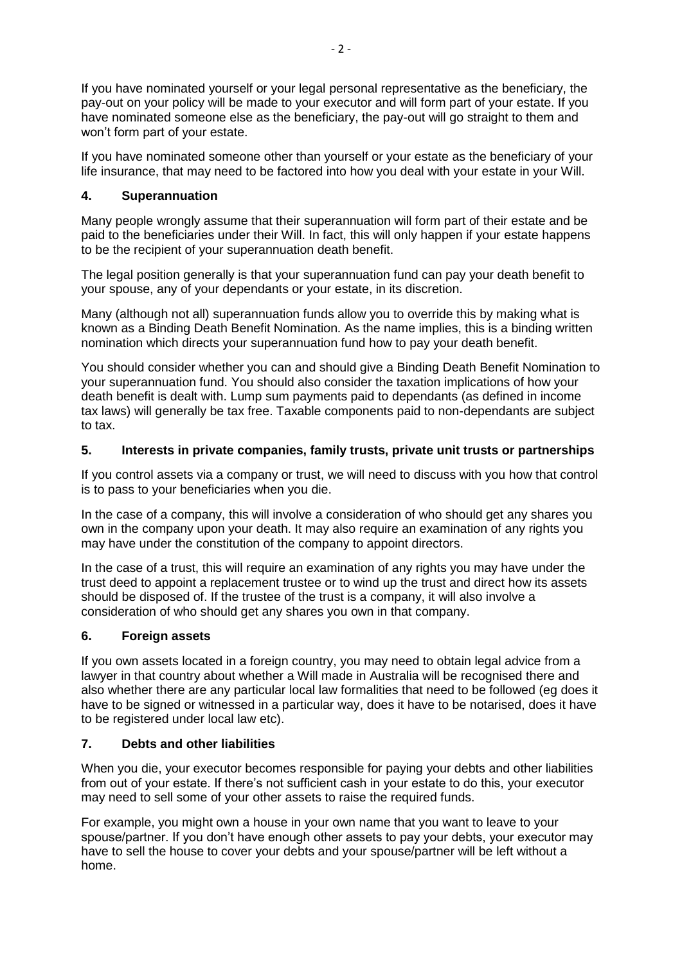If you have nominated yourself or your legal personal representative as the beneficiary, the pay-out on your policy will be made to your executor and will form part of your estate. If you have nominated someone else as the beneficiary, the pay-out will go straight to them and won't form part of your estate.

If you have nominated someone other than yourself or your estate as the beneficiary of your life insurance, that may need to be factored into how you deal with your estate in your Will.

## **4. Superannuation**

Many people wrongly assume that their superannuation will form part of their estate and be paid to the beneficiaries under their Will. In fact, this will only happen if your estate happens to be the recipient of your superannuation death benefit.

The legal position generally is that your superannuation fund can pay your death benefit to your spouse, any of your dependants or your estate, in its discretion.

Many (although not all) superannuation funds allow you to override this by making what is known as a Binding Death Benefit Nomination. As the name implies, this is a binding written nomination which directs your superannuation fund how to pay your death benefit.

You should consider whether you can and should give a Binding Death Benefit Nomination to your superannuation fund. You should also consider the taxation implications of how your death benefit is dealt with. Lump sum payments paid to dependants (as defined in income tax laws) will generally be tax free. Taxable components paid to non-dependants are subject to tax.

## **5. Interests in private companies, family trusts, private unit trusts or partnerships**

If you control assets via a company or trust, we will need to discuss with you how that control is to pass to your beneficiaries when you die.

In the case of a company, this will involve a consideration of who should get any shares you own in the company upon your death. It may also require an examination of any rights you may have under the constitution of the company to appoint directors.

In the case of a trust, this will require an examination of any rights you may have under the trust deed to appoint a replacement trustee or to wind up the trust and direct how its assets should be disposed of. If the trustee of the trust is a company, it will also involve a consideration of who should get any shares you own in that company.

### **6. Foreign assets**

If you own assets located in a foreign country, you may need to obtain legal advice from a lawyer in that country about whether a Will made in Australia will be recognised there and also whether there are any particular local law formalities that need to be followed (eg does it have to be signed or witnessed in a particular way, does it have to be notarised, does it have to be registered under local law etc).

### **7. Debts and other liabilities**

When you die, your executor becomes responsible for paying your debts and other liabilities from out of your estate. If there's not sufficient cash in your estate to do this, your executor may need to sell some of your other assets to raise the required funds.

For example, you might own a house in your own name that you want to leave to your spouse/partner. If you don't have enough other assets to pay your debts, your executor may have to sell the house to cover your debts and your spouse/partner will be left without a home.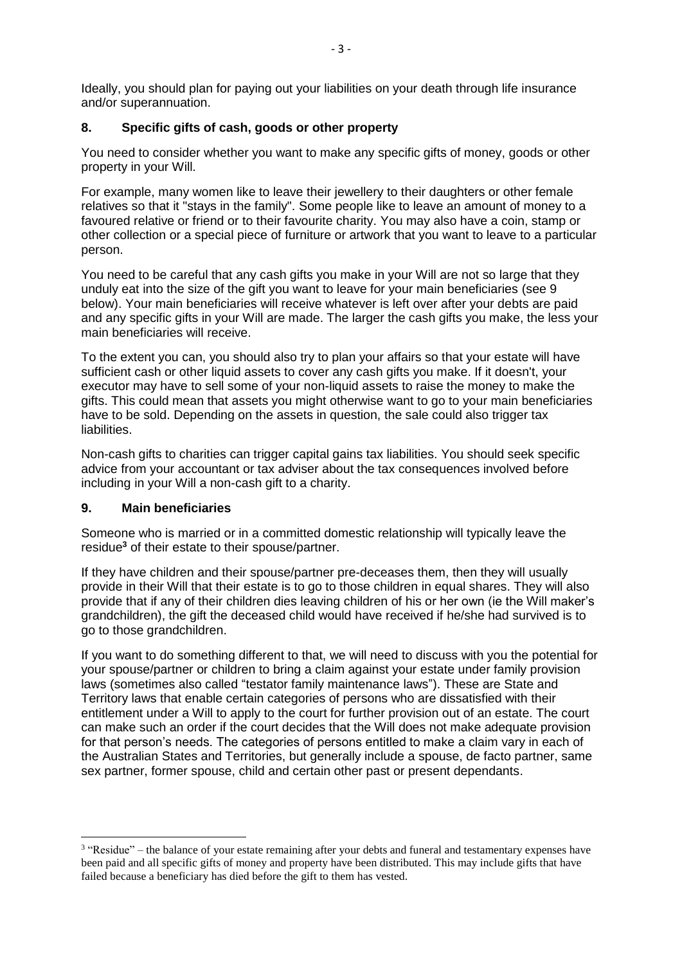Ideally, you should plan for paying out your liabilities on your death through life insurance and/or superannuation.

## **8. Specific gifts of cash, goods or other property**

You need to consider whether you want to make any specific gifts of money, goods or other property in your Will.

For example, many women like to leave their jewellery to their daughters or other female relatives so that it "stays in the family". Some people like to leave an amount of money to a favoured relative or friend or to their favourite charity. You may also have a coin, stamp or other collection or a special piece of furniture or artwork that you want to leave to a particular person.

You need to be careful that any cash gifts you make in your Will are not so large that they unduly eat into the size of the gift you want to leave for your main beneficiaries (see 9 below). Your main beneficiaries will receive whatever is left over after your debts are paid and any specific gifts in your Will are made. The larger the cash gifts you make, the less your main beneficiaries will receive.

To the extent you can, you should also try to plan your affairs so that your estate will have sufficient cash or other liquid assets to cover any cash gifts you make. If it doesn't, your executor may have to sell some of your non-liquid assets to raise the money to make the gifts. This could mean that assets you might otherwise want to go to your main beneficiaries have to be sold. Depending on the assets in question, the sale could also trigger tax liabilities.

Non-cash gifts to charities can trigger capital gains tax liabilities. You should seek specific advice from your accountant or tax adviser about the tax consequences involved before including in your Will a non-cash gift to a charity.

### **9. Main beneficiaries**

 $\overline{a}$ 

Someone who is married or in a committed domestic relationship will typically leave the residue**<sup>3</sup>** of their estate to their spouse/partner.

If they have children and their spouse/partner pre-deceases them, then they will usually provide in their Will that their estate is to go to those children in equal shares. They will also provide that if any of their children dies leaving children of his or her own (ie the Will maker's grandchildren), the gift the deceased child would have received if he/she had survived is to go to those grandchildren.

If you want to do something different to that, we will need to discuss with you the potential for your spouse/partner or children to bring a claim against your estate under family provision laws (sometimes also called "testator family maintenance laws"). These are State and Territory laws that enable certain categories of persons who are dissatisfied with their entitlement under a Will to apply to the court for further provision out of an estate. The court can make such an order if the court decides that the Will does not make adequate provision for that person's needs. The categories of persons entitled to make a claim vary in each of the Australian States and Territories, but generally include a spouse, de facto partner, same sex partner, former spouse, child and certain other past or present dependants.

<sup>&</sup>lt;sup>3</sup> "Residue" – the balance of your estate remaining after your debts and funeral and testamentary expenses have been paid and all specific gifts of money and property have been distributed. This may include gifts that have failed because a beneficiary has died before the gift to them has vested.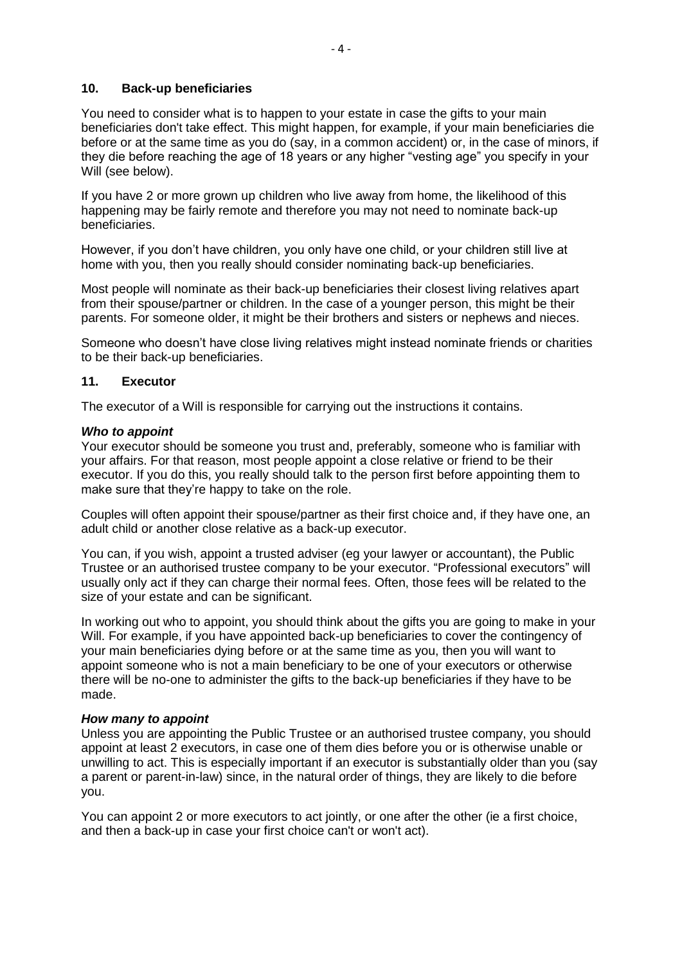### **10. Back-up beneficiaries**

You need to consider what is to happen to your estate in case the gifts to your main beneficiaries don't take effect. This might happen, for example, if your main beneficiaries die before or at the same time as you do (say, in a common accident) or, in the case of minors, if they die before reaching the age of 18 years or any higher "vesting age" you specify in your Will (see below).

If you have 2 or more grown up children who live away from home, the likelihood of this happening may be fairly remote and therefore you may not need to nominate back-up beneficiaries.

However, if you don't have children, you only have one child, or your children still live at home with you, then you really should consider nominating back-up beneficiaries.

Most people will nominate as their back-up beneficiaries their closest living relatives apart from their spouse/partner or children. In the case of a younger person, this might be their parents. For someone older, it might be their brothers and sisters or nephews and nieces.

Someone who doesn't have close living relatives might instead nominate friends or charities to be their back-up beneficiaries.

### **11. Executor**

The [executor](javascript:Glossary(151)) of a Will is responsible for carrying out the instructions it contains.

#### *Who to appoint*

Your executor should be someone you trust and, preferably, someone who is familiar with your affairs. For that reason, most people appoint a close relative or friend to be their executor. If you do this, you really should talk to the person first before appointing them to make sure that they're happy to take on the role.

Couples will often appoint their spouse/partner as their first choice and, if they have one, an adult child or another close relative as a back-up executor.

You can, if you wish, appoint a trusted adviser (eg your lawyer or accountant), the Public Trustee or an authorised trustee company to be your executor. "Professional executors" will usually only act if they can charge their normal fees. Often, those fees will be related to the size of your estate and can be significant.

In working out who to appoint, you should think about the gifts you are going to make in your Will. For example, if you have appointed back-up beneficiaries to cover the contingency of your main beneficiaries dying before or at the same time as you, then you will want to appoint someone who is not a main beneficiary to be one of your executors or otherwise there will be no-one to administer the gifts to the back-up beneficiaries if they have to be made.

#### *How many to appoint*

Unless you are appointing the Public Trustee or an authorised trustee company, you should appoint at least 2 executors, in case one of them dies before you or is otherwise unable or unwilling to act. This is especially important if an executor is substantially older than you (say a parent or parent-in-law) since, in the natural order of things, they are likely to die before you.

You can appoint 2 or more executors to act jointly, or one after the other (ie a first choice, and then a back-up in case your first choice can't or won't act).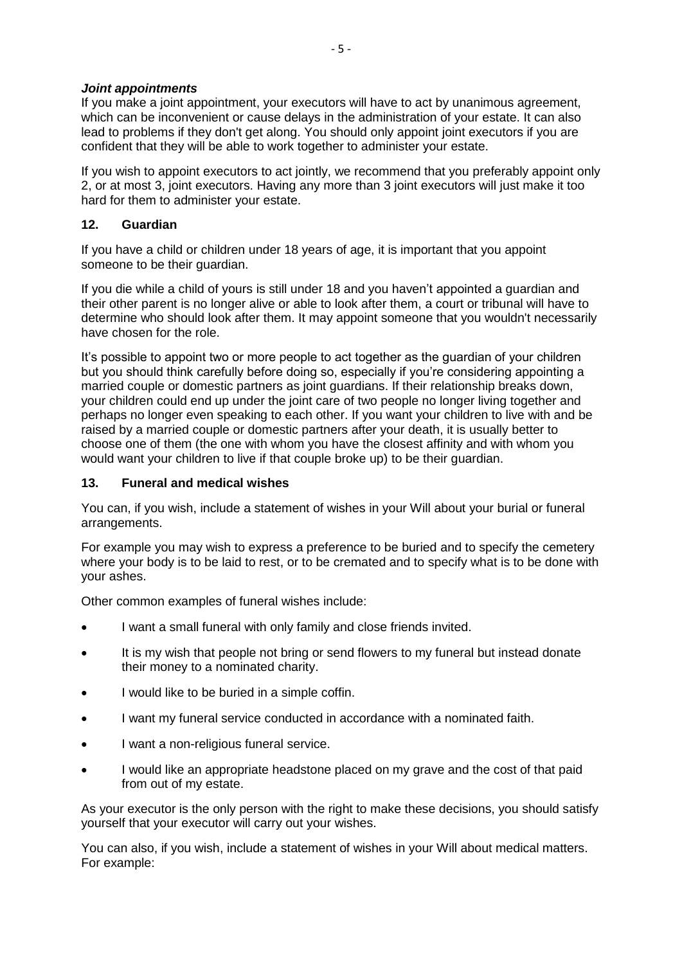## *Joint appointments*

If you make a joint appointment, your executors will have to act by unanimous agreement, which can be inconvenient or cause delays in the administration of your estate. It can also lead to problems if they don't get along. You should only appoint joint executors if you are confident that they will be able to work together to administer your estate.

If you wish to appoint executors to act jointly, we recommend that you preferably appoint only 2, or at most 3, joint executors. Having any more than 3 joint executors will just make it too hard for them to administer your estate.

# **12. Guardian**

If you have a child or children under 18 years of age, it is important that you appoint someone to be their guardian.

If you die while a child of yours is still under 18 and you haven't appointed a guardian and their other parent is no longer alive or able to look after them, a court or tribunal will have to determine who should look after them. It may appoint someone that you wouldn't necessarily have chosen for the role.

It's possible to appoint two or more people to act together as the guardian of your children but you should think carefully before doing so, especially if you're considering appointing a married couple or domestic partners as joint guardians. If their relationship breaks down, your children could end up under the joint care of two people no longer living together and perhaps no longer even speaking to each other. If you want your children to live with and be raised by a married couple or domestic partners after your death, it is usually better to choose one of them (the one with whom you have the closest affinity and with whom you would want your children to live if that couple broke up) to be their guardian.

# **13. Funeral and medical wishes**

You can, if you wish, include a statement of wishes in your Will about your burial or funeral arrangements.

For example you may wish to express a preference to be buried and to specify the cemetery where your body is to be laid to rest, or to be cremated and to specify what is to be done with your ashes.

Other common examples of funeral wishes include:

- I want a small funeral with only family and close friends invited.
- It is my wish that people not bring or send flowers to my funeral but instead donate their money to a nominated charity.
- I would like to be buried in a simple coffin.
- I want my funeral service conducted in accordance with a nominated faith.
- I want a non-religious funeral service.
- I would like an appropriate headstone placed on my grave and the cost of that paid from out of my estate.

As your executor is the only person with the right to make these decisions, you should satisfy yourself that your executor will carry out your wishes.

You can also, if you wish, include a statement of wishes in your Will about medical matters. For example: